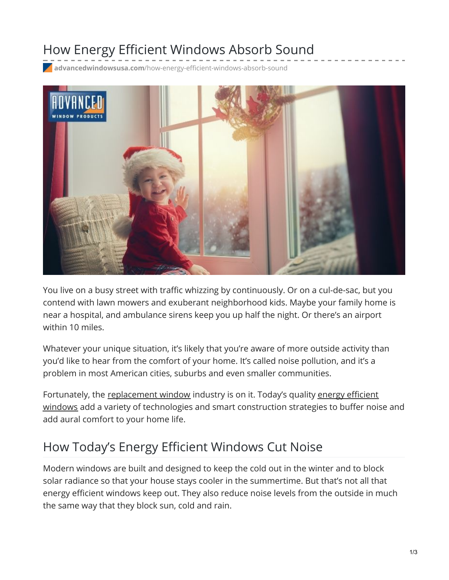### How Energy Efficient Windows Absorb Sound

**advancedwindowsusa.com**[/how-energy-efficient-windows-absorb-sound](https://advancedwindowsusa.com/how-energy-efficient-windows-absorb-sound)



You live on a busy street with traffic whizzing by continuously. Or on a cul-de-sac, but you contend with lawn mowers and exuberant neighborhood kids. Maybe your family home is near a hospital, and ambulance sirens keep you up half the night. Or there's an airport within 10 miles.

Whatever your unique situation, it's likely that you're aware of more outside activity than you'd like to hear from the comfort of your home. It's called noise pollution, and it's a problem in most American cities, suburbs and even smaller communities.

Fortunately, the [replacement](https://advancedwindowsusa.com/why-choose-us) window industry is on it. Today's quality energy efficient windows add a variety of technologies and smart construction strategies to buffer noise and add aural comfort to your home life.

### How Today's Energy Efficient Windows Cut Noise

Modern windows are built and designed to keep the cold out in the winter and to block solar radiance so that your house stays cooler in the summertime. But that's not all that energy efficient windows keep out. They also reduce noise levels from the outside in much the same way that they block sun, cold and rain.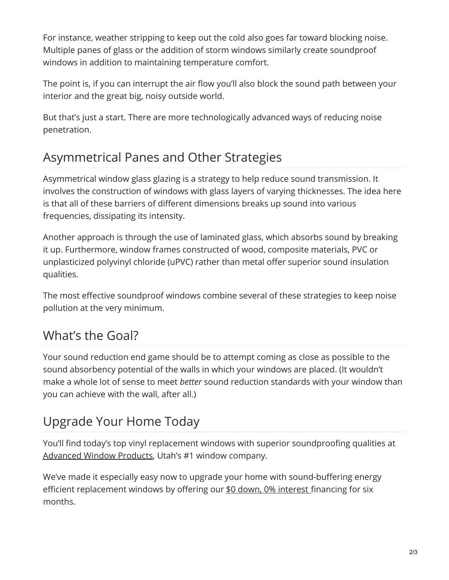For instance, weather stripping to keep out the cold also goes far toward blocking noise. Multiple panes of glass or the addition of storm windows similarly create soundproof windows in addition to maintaining temperature comfort.

The point is, if you can interrupt the air flow you'll also block the sound path between your interior and the great big, noisy outside world.

But that's just a start. There are more technologically advanced ways of reducing noise penetration.

# Asymmetrical Panes and Other Strategies

Asymmetrical window glass glazing is a strategy to help reduce sound transmission. It involves the construction of windows with glass layers of varying thicknesses. The idea here is that all of these barriers of different dimensions breaks up sound into various frequencies, dissipating its intensity.

Another approach is through the use of laminated glass, which absorbs sound by breaking it up. Furthermore, window frames constructed of wood, composite materials, PVC or unplasticized polyvinyl chloride (uPVC) rather than metal offer superior sound insulation qualities.

The most effective soundproof windows combine several of these strategies to keep noise pollution at the very minimum.

# What's the Goal?

Your sound reduction end game should be to attempt coming as close as possible to the sound absorbency potential of the walls in which your windows are placed. (It wouldn't make a whole lot of sense to meet *better* sound reduction standards with your window than you can achieve with the wall, after all.)

# Upgrade Your Home Today

You'll find today's top vinyl replacement windows with superior soundproofing qualities at [Advanced](https://advancedwindowsusa.com/) Window Products, Utah's #1 window company.

We've made it especially easy now to upgrade your home with sound-buffering energy efficient replacement windows by offering our \$0 down, 0% [interest](https://advancedwindowsusa.com/home-improvement-financing) financing for six months.